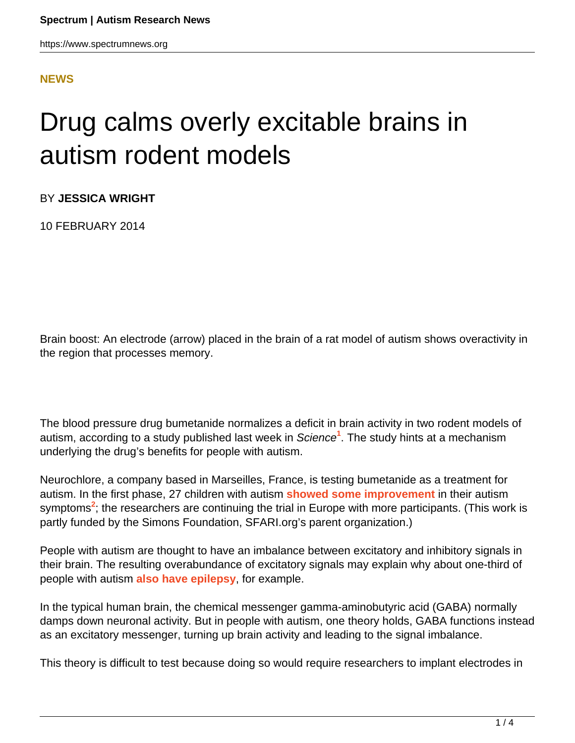## **[NEWS](HTTPS://WWW.SPECTRUMNEWS.ORG/NEWS/)**

## Drug calms overly excitable brains in autism rodent models

BY **JESSICA WRIGHT**

10 FEBRUARY 2014

Brain boost: An electrode (arrow) placed in the brain of a rat model of autism shows overactivity in the region that processes memory.

The blood pressure drug bumetanide normalizes a deficit in brain activity in two rodent models of autism, according to a study published last week in Science**<sup>1</sup>** . The study hints at a mechanism underlying the drug's benefits for people with autism.

Neurochlore, a company based in Marseilles, France, is testing bumetanide as a treatment for autism. In the first phase, 27 children with autism **[showed some improvement](https://www.spectrumnews.org/news/2013/controversial-study-touts-blood-pressure-drug-for-autism)** in their autism symptoms<sup>2</sup>; the researchers are continuing the trial in Europe with more participants. (This work is partly funded by the Simons Foundation, SFARI.org's parent organization.)

People with autism are thought to have an imbalance between excitatory and inhibitory signals in their brain. The resulting overabundance of excitatory signals may explain why about one-third of people with autism **[also have epilepsy](https://www.spectrumnews.org/news/2011/scientists-probe-puzzling-overlap-of-epilepsy-and-autism)**, for example.

In the typical human brain, the chemical messenger gamma-aminobutyric acid (GABA) normally damps down neuronal activity. But in people with autism, one theory holds, GABA functions instead as an excitatory messenger, turning up brain activity and leading to the signal imbalance.

This theory is difficult to test because doing so would require researchers to implant electrodes in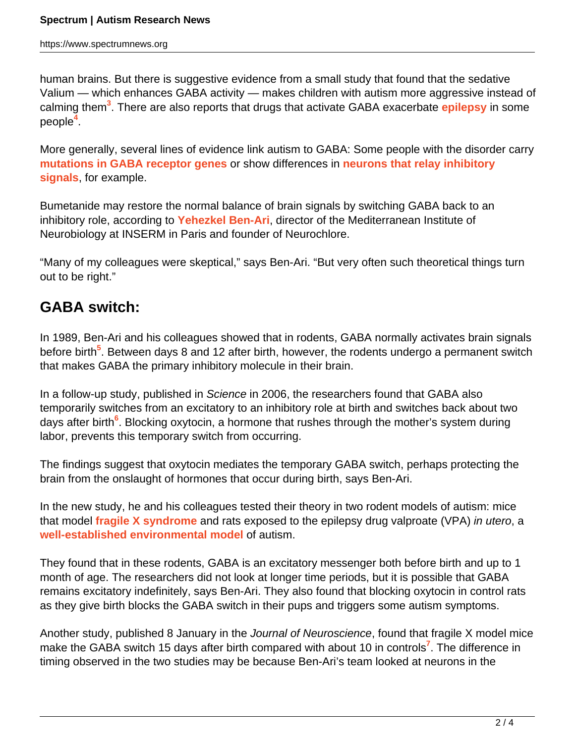human brains. But there is suggestive evidence from a small study that found that the sedative Valium — which enhances GABA activity — makes children with autism more aggressive instead of calming them**<sup>3</sup>** . There are also reports that drugs that activate GABA exacerbate **[epilepsy](https://www.spectrumnews.org/wiki/epilepsy)** in some people**<sup>4</sup>** .

More generally, several lines of evidence link autism to GABA: Some people with the disorder carry **[mutations in GABA receptor genes](https://www.spectrumnews.org/news/2009/gaba-receptor-variant-found-in-families-with-autism)** or show differences in **[neurons that relay inhibitory](https://www.spectrumnews.org/viewpoint/2011/a-case-for-the-importance-of-interneurons-in-autism) [signals](https://www.spectrumnews.org/viewpoint/2011/a-case-for-the-importance-of-interneurons-in-autism)**, for example.

Bumetanide may restore the normal balance of brain signals by switching GABA back to an inhibitory role, according to **[Yehezkel Ben-Ari](http://sfari.org/author/?author=https://id.simonsfoundation.org/yehezkelbenari)**, director of the Mediterranean Institute of Neurobiology at INSERM in Paris and founder of Neurochlore.

"Many of my colleagues were skeptical," says Ben-Ari. "But very often such theoretical things turn out to be right."

## **GABA switch:**

In 1989, Ben-Ari and his colleagues showed that in rodents, GABA normally activates brain signals before birth<sup>5</sup>. Between days 8 and 12 after birth, however, the rodents undergo a permanent switch that makes GABA the primary inhibitory molecule in their brain.

In a follow-up study, published in Science in 2006, the researchers found that GABA also temporarily switches from an excitatory to an inhibitory role at birth and switches back about two days after birth<sup>6</sup>. Blocking oxytocin, a hormone that rushes through the mother's system during labor, prevents this temporary switch from occurring.

The findings suggest that oxytocin mediates the temporary GABA switch, perhaps protecting the brain from the onslaught of hormones that occur during birth, says Ben-Ari.

In the new study, he and his colleagues tested their theory in two rodent models of autism: mice that model **[fragile X syndrome](https://www.spectrumnews.org/wiki/fragile-x)** and rats exposed to the epilepsy drug valproate (VPA) in utero, a **[well-established environmental model](https://www.spectrumnews.org/in-brief/2013/molecular-mechanisms-rats-could-model-autism-gender-bias)** of autism.

They found that in these rodents, GABA is an excitatory messenger both before birth and up to 1 month of age. The researchers did not look at longer time periods, but it is possible that GABA remains excitatory indefinitely, says Ben-Ari. They also found that blocking oxytocin in control rats as they give birth blocks the GABA switch in their pups and triggers some autism symptoms.

Another study, published 8 January in the Journal of Neuroscience, found that fragile X model mice make the GABA switch 15 days after birth compared with about 10 in controls**<sup>7</sup>** . The difference in timing observed in the two studies may be because Ben-Ari's team looked at neurons in the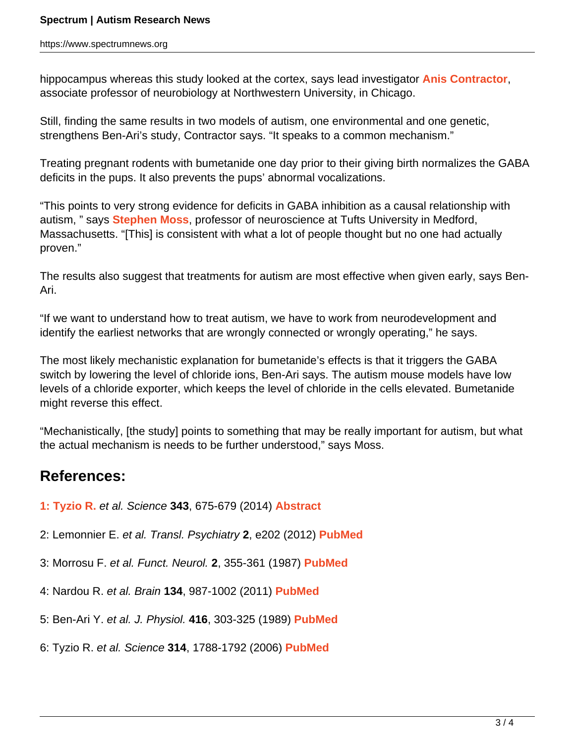hippocampus whereas this study looked at the cortex, says lead investigator **[Anis Contractor](http://sfari.org/author/?author=https://id.simonsfoundation.org/aniscontractor)**, associate professor of neurobiology at Northwestern University, in Chicago.

Still, finding the same results in two models of autism, one environmental and one genetic, strengthens Ben-Ari's study, Contractor says. "It speaks to a common mechanism."

Treating pregnant rodents with bumetanide one day prior to their giving birth normalizes the GABA deficits in the pups. It also prevents the pups' abnormal vocalizations.

"This points to very strong evidence for deficits in GABA inhibition as a causal relationship with autism, " says **[Stephen Moss](http://sfari.org/author/?author=https://id.simonsfoundation.org/stephenmoss)**, professor of neuroscience at Tufts University in Medford, Massachusetts. "[This] is consistent with what a lot of people thought but no one had actually proven."

The results also suggest that treatments for autism are most effective when given early, says Ben-Ari.

"If we want to understand how to treat autism, we have to work from neurodevelopment and identify the earliest networks that are wrongly connected or wrongly operating," he says.

The most likely mechanistic explanation for bumetanide's effects is that it triggers the GABA switch by lowering the level of chloride ions, Ben-Ari says. The autism mouse models have low levels of a chloride exporter, which keeps the level of chloride in the cells elevated. Bumetanide might reverse this effect.

"Mechanistically, [the study] points to something that may be really important for autism, but what the actual mechanism is needs to be further understood," says Moss.

## **References:**

**1: Tyzio R.** et al. Science **343**, 675-679 (2014) **[Abstract](http://www.sciencemag.org/content/343/6171/675.abstract?sid=db1f0200-f3c0-4dea-9b62-c90bdc7b9491)**

- 2: Lemonnier E. et al. Transl. Psychiatry **2**, e202 (2012) **[PubMed](http://www.ncbi.nlm.nih.gov/pubmed/23233021)**
- 3: Morrosu F. et al. Funct. Neurol. **2**, 355-361 (1987) **[PubMed](http://www.ncbi.nlm.nih.gov/pubmed/2826308)**
- 4: Nardou R. et al. Brain **134**, 987-1002 (2011) **[PubMed](http://www.ncbi.nlm.nih.gov/pubmed/21436113)**
- 5: Ben-Ari Y. et al. J. Physiol. **416**, 303-325 (1989) **[PubMed](http://www.ncbi.nlm.nih.gov/pubmed/2575165)**
- 6: Tyzio R. et al. Science **314**, 1788-1792 (2006) **[PubMed](http://www.ncbi.nlm.nih.gov/pubmed/17170309)**